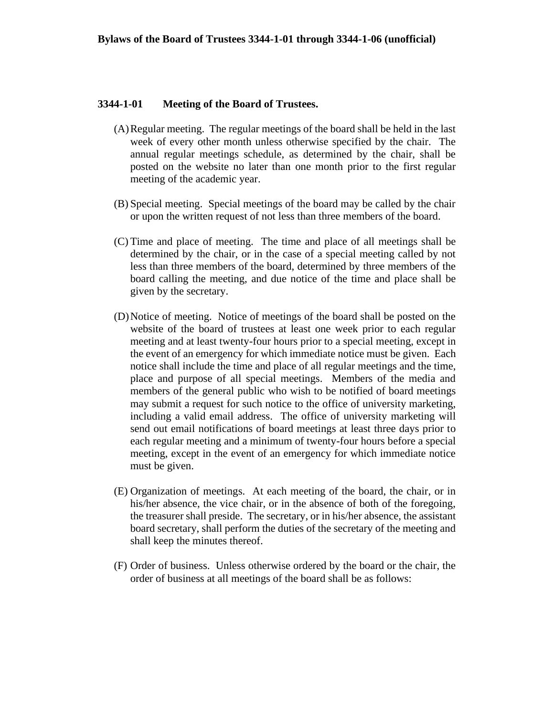#### **3344-1-01 Meeting of the Board of Trustees.**

- (A)Regular meeting. The regular meetings of the board shall be held in the last week of every other month unless otherwise specified by the chair. The annual regular meetings schedule, as determined by the chair, shall be posted on the website no later than one month prior to the first regular meeting of the academic year.
- (B) Special meeting. Special meetings of the board may be called by the chair or upon the written request of not less than three members of the board.
- (C) Time and place of meeting. The time and place of all meetings shall be determined by the chair, or in the case of a special meeting called by not less than three members of the board, determined by three members of the board calling the meeting, and due notice of the time and place shall be given by the secretary.
- (D)Notice of meeting. Notice of meetings of the board shall be posted on the website of the board of trustees at least one week prior to each regular meeting and at least twenty-four hours prior to a special meeting, except in the event of an emergency for which immediate notice must be given. Each notice shall include the time and place of all regular meetings and the time, place and purpose of all special meetings. Members of the media and members of the general public who wish to be notified of board meetings may submit a request for such notice to the office of university marketing, including a valid email address. The office of university marketing will send out email notifications of board meetings at least three days prior to each regular meeting and a minimum of twenty-four hours before a special meeting, except in the event of an emergency for which immediate notice must be given.
- (E) Organization of meetings. At each meeting of the board, the chair, or in his/her absence, the vice chair, or in the absence of both of the foregoing, the treasurer shall preside. The secretary, or in his/her absence, the assistant board secretary, shall perform the duties of the secretary of the meeting and shall keep the minutes thereof.
- (F) Order of business. Unless otherwise ordered by the board or the chair, the order of business at all meetings of the board shall be as follows: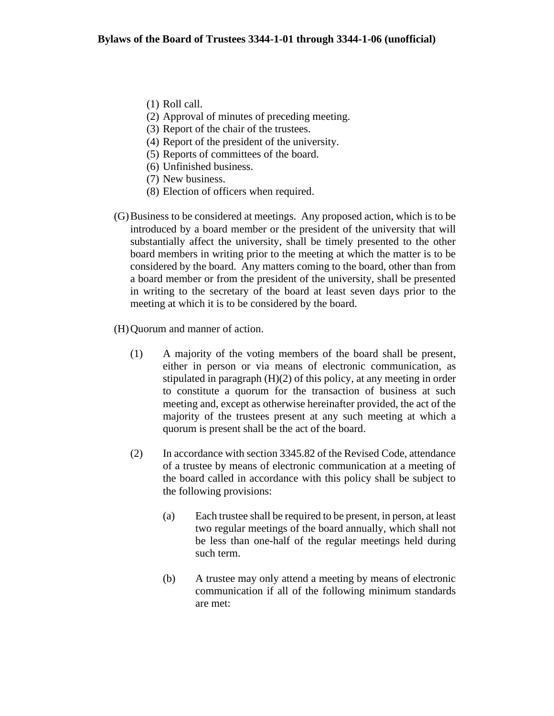- (1) Roll call.
- (2) Approval of minutes of preceding meeting.
- (3) Report of the chair of the trustees.
- (4) Report of the president of the university.
- (5) Reports of committees of the board.
- (6) Unfinished business.
- (7) New business.
- (8) Election of officers when required.
- (G)Business to be considered at meetings. Any proposed action, which is to be introduced by a board member or the president of the university that will substantially affect the university, shall be timely presented to the other board members in writing prior to the meeting at which the matter is to be considered by the board. Any matters coming to the board, other than from a board member or from the president of the university, shall be presented in writing to the secretary of the board at least seven days prior to the meeting at which it is to be considered by the board.
- (H)Quorum and manner of action.
	- (1) A majority of the voting members of the board shall be present, either in person or via means of electronic communication, as stipulated in paragraph (H)(2) of this policy, at any meeting in order to constitute a quorum for the transaction of business at such meeting and, except as otherwise hereinafter provided, the act of the majority of the trustees present at any such meeting at which a quorum is present shall be the act of the board.
	- (2) In accordance with section 3345.82 of the Revised Code, attendance of a trustee by means of electronic communication at a meeting of the board called in accordance with this policy shall be subject to the following provisions:
		- (a) Each trustee shall be required to be present, in person, at least two regular meetings of the board annually, which shall not be less than one-half of the regular meetings held during such term.
		- (b) A trustee may only attend a meeting by means of electronic communication if all of the following minimum standards are met: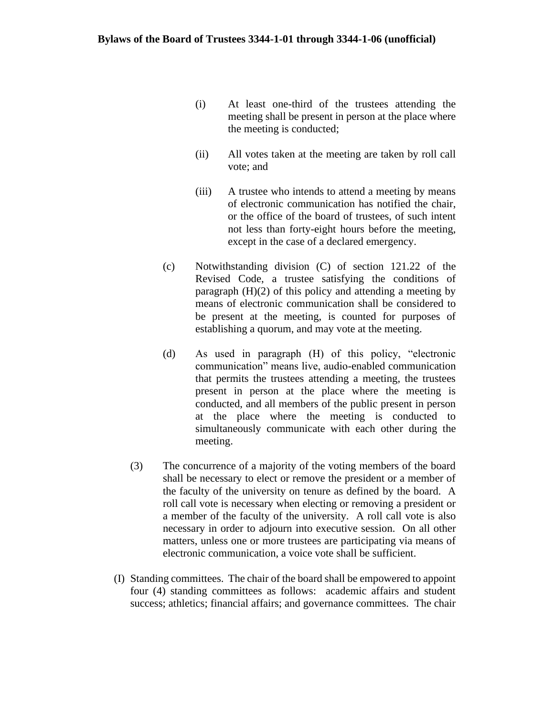- (i) At least one-third of the trustees attending the meeting shall be present in person at the place where the meeting is conducted;
- (ii) All votes taken at the meeting are taken by roll call vote; and
- (iii) A trustee who intends to attend a meeting by means of electronic communication has notified the chair, or the office of the board of trustees, of such intent not less than forty-eight hours before the meeting, except in the case of a declared emergency.
- (c) Notwithstanding division (C) of section 121.22 of the Revised Code, a trustee satisfying the conditions of paragraph (H)(2) of this policy and attending a meeting by means of electronic communication shall be considered to be present at the meeting, is counted for purposes of establishing a quorum, and may vote at the meeting.
- (d) As used in paragraph (H) of this policy, "electronic communication" means live, audio-enabled communication that permits the trustees attending a meeting, the trustees present in person at the place where the meeting is conducted, and all members of the public present in person at the place where the meeting is conducted to simultaneously communicate with each other during the meeting.
- (3) The concurrence of a majority of the voting members of the board shall be necessary to elect or remove the president or a member of the faculty of the university on tenure as defined by the board. A roll call vote is necessary when electing or removing a president or a member of the faculty of the university. A roll call vote is also necessary in order to adjourn into executive session. On all other matters, unless one or more trustees are participating via means of electronic communication, a voice vote shall be sufficient.
- (I) Standing committees. The chair of the board shall be empowered to appoint four (4) standing committees as follows: academic affairs and student success; athletics; financial affairs; and governance committees. The chair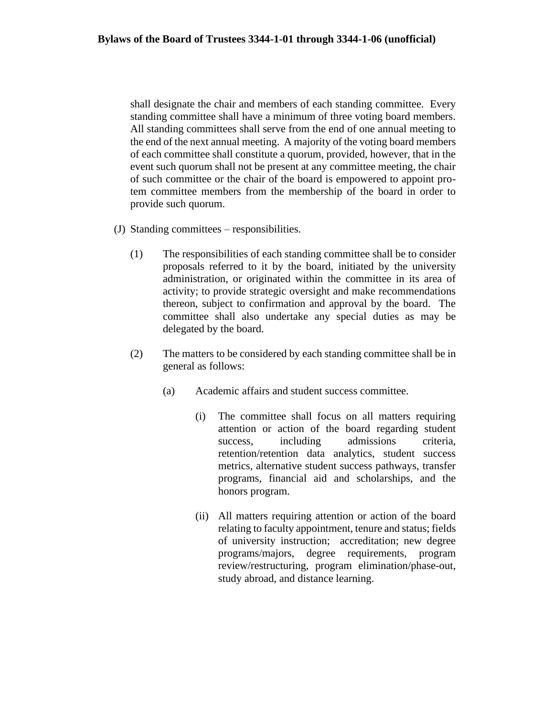shall designate the chair and members of each standing committee. Every standing committee shall have a minimum of three voting board members. All standing committees shall serve from the end of one annual meeting to the end of the next annual meeting. A majority of the voting board members of each committee shall constitute a quorum, provided, however, that in the event such quorum shall not be present at any committee meeting, the chair of such committee or the chair of the board is empowered to appoint protem committee members from the membership of the board in order to provide such quorum.

- (J) Standing committees responsibilities.
	- (1) The responsibilities of each standing committee shall be to consider proposals referred to it by the board, initiated by the university administration, or originated within the committee in its area of activity; to provide strategic oversight and make recommendations thereon, subject to confirmation and approval by the board. The committee shall also undertake any special duties as may be delegated by the board.
	- (2) The matters to be considered by each standing committee shall be in general as follows:
		- (a) Academic affairs and student success committee.
			- (i) The committee shall focus on all matters requiring attention or action of the board regarding student success, including admissions criteria, retention/retention data analytics, student success metrics, alternative student success pathways, transfer programs, financial aid and scholarships, and the honors program.
			- (ii) All matters requiring attention or action of the board relating to faculty appointment, tenure and status; fields of university instruction; accreditation; new degree programs/majors, degree requirements, program review/restructuring, program elimination/phase-out, study abroad, and distance learning.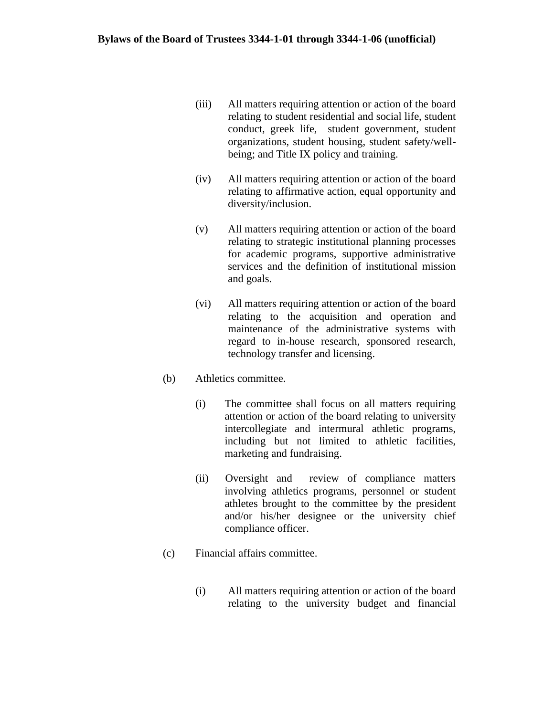- (iii) All matters requiring attention or action of the board relating to student residential and social life, student conduct, greek life, student government, student organizations, student housing, student safety/wellbeing; and Title IX policy and training.
- (iv) All matters requiring attention or action of the board relating to affirmative action, equal opportunity and diversity/inclusion.
- (v) All matters requiring attention or action of the board relating to strategic institutional planning processes for academic programs, supportive administrative services and the definition of institutional mission and goals.
- (vi) All matters requiring attention or action of the board relating to the acquisition and operation and maintenance of the administrative systems with regard to in-house research, sponsored research, technology transfer and licensing.
- (b) Athletics committee.
	- (i) The committee shall focus on all matters requiring attention or action of the board relating to university intercollegiate and intermural athletic programs, including but not limited to athletic facilities, marketing and fundraising.
	- (ii) Oversight and review of compliance matters involving athletics programs, personnel or student athletes brought to the committee by the president and/or his/her designee or the university chief compliance officer.
- (c) Financial affairs committee.
	- (i) All matters requiring attention or action of the board relating to the university budget and financial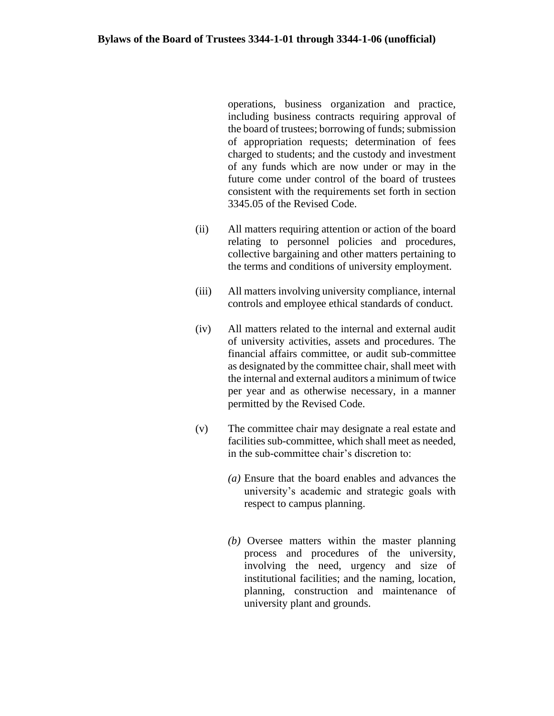operations, business organization and practice, including business contracts requiring approval of the board of trustees; borrowing of funds; submission of appropriation requests; determination of fees charged to students; and the custody and investment of any funds which are now under or may in the future come under control of the board of trustees consistent with the requirements set forth in section 3345.05 of the Revised Code.

- (ii) All matters requiring attention or action of the board relating to personnel policies and procedures, collective bargaining and other matters pertaining to the terms and conditions of university employment.
- (iii) All matters involving university compliance, internal controls and employee ethical standards of conduct.
- (iv) All matters related to the internal and external audit of university activities, assets and procedures. The financial affairs committee, or audit sub-committee as designated by the committee chair, shall meet with the internal and external auditors a minimum of twice per year and as otherwise necessary, in a manner permitted by the Revised Code.
- (v) The committee chair may designate a real estate and facilities sub-committee, which shall meet as needed, in the sub-committee chair's discretion to:
	- *(a)* Ensure that the board enables and advances the university's academic and strategic goals with respect to campus planning.
	- *(b)* Oversee matters within the master planning process and procedures of the university, involving the need, urgency and size of institutional facilities; and the naming, location, planning, construction and maintenance of university plant and grounds.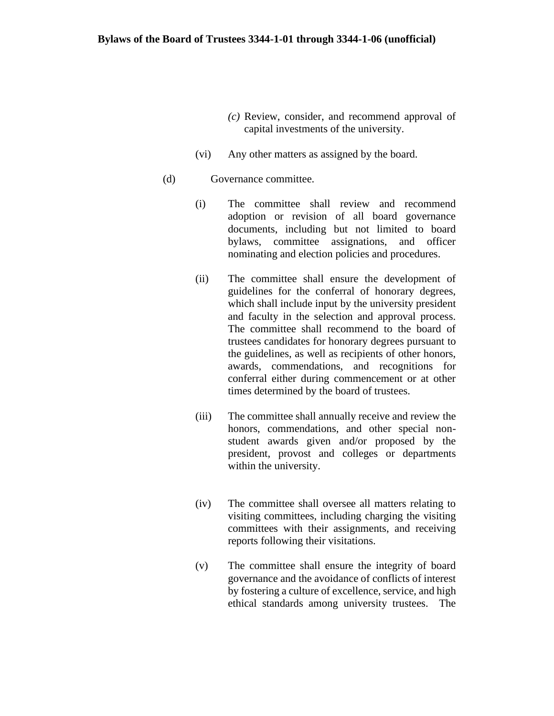- *(c)* Review, consider, and recommend approval of capital investments of the university.
- (vi) Any other matters as assigned by the board.

### (d) Governance committee.

- (i) The committee shall review and recommend adoption or revision of all board governance documents, including but not limited to board bylaws, committee assignations, and officer nominating and election policies and procedures.
- (ii) The committee shall ensure the development of guidelines for the conferral of honorary degrees, which shall include input by the university president and faculty in the selection and approval process. The committee shall recommend to the board of trustees candidates for honorary degrees pursuant to the guidelines, as well as recipients of other honors, awards, commendations, and recognitions for conferral either during commencement or at other times determined by the board of trustees.
- (iii) The committee shall annually receive and review the honors, commendations, and other special nonstudent awards given and/or proposed by the president, provost and colleges or departments within the university.
- (iv) The committee shall oversee all matters relating to visiting committees, including charging the visiting committees with their assignments, and receiving reports following their visitations.
- (v) The committee shall ensure the integrity of board governance and the avoidance of conflicts of interest by fostering a culture of excellence, service, and high ethical standards among university trustees. The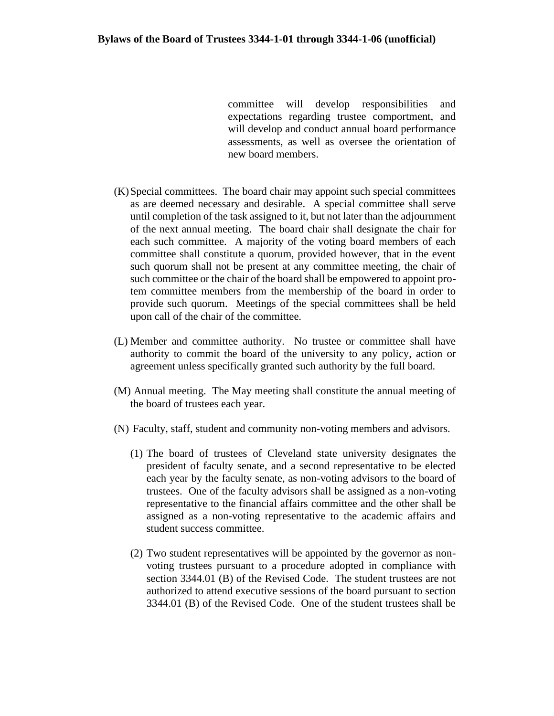committee will develop responsibilities and expectations regarding trustee comportment, and will develop and conduct annual board performance assessments, as well as oversee the orientation of new board members.

- (K)Special committees. The board chair may appoint such special committees as are deemed necessary and desirable. A special committee shall serve until completion of the task assigned to it, but not later than the adjournment of the next annual meeting. The board chair shall designate the chair for each such committee. A majority of the voting board members of each committee shall constitute a quorum, provided however, that in the event such quorum shall not be present at any committee meeting, the chair of such committee or the chair of the board shall be empowered to appoint protem committee members from the membership of the board in order to provide such quorum. Meetings of the special committees shall be held upon call of the chair of the committee.
- (L) Member and committee authority. No trustee or committee shall have authority to commit the board of the university to any policy, action or agreement unless specifically granted such authority by the full board.
- (M) Annual meeting. The May meeting shall constitute the annual meeting of the board of trustees each year.
- (N) Faculty, staff, student and community non-voting members and advisors.
	- (1) The board of trustees of Cleveland state university designates the president of faculty senate, and a second representative to be elected each year by the faculty senate, as non-voting advisors to the board of trustees. One of the faculty advisors shall be assigned as a non-voting representative to the financial affairs committee and the other shall be assigned as a non-voting representative to the academic affairs and student success committee.
	- (2) Two student representatives will be appointed by the governor as nonvoting trustees pursuant to a procedure adopted in compliance with section 3344.01 (B) of the Revised Code. The student trustees are not authorized to attend executive sessions of the board pursuant to section 3344.01 (B) of the Revised Code. One of the student trustees shall be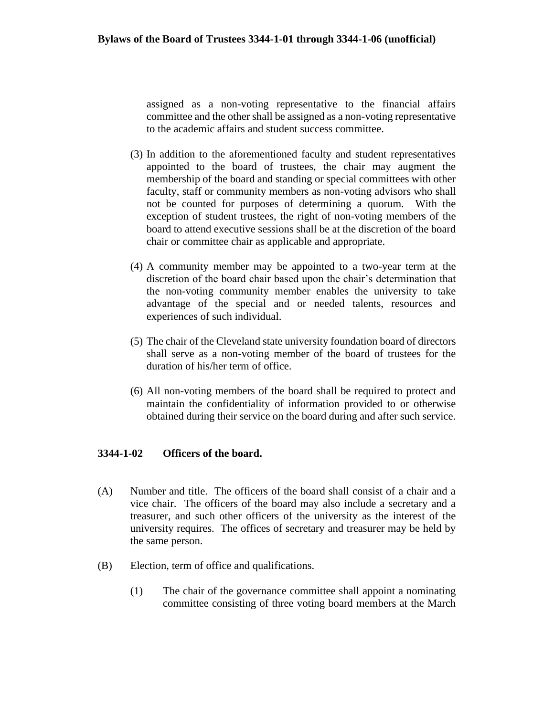assigned as a non-voting representative to the financial affairs committee and the other shall be assigned as a non-voting representative to the academic affairs and student success committee.

- (3) In addition to the aforementioned faculty and student representatives appointed to the board of trustees, the chair may augment the membership of the board and standing or special committees with other faculty, staff or community members as non-voting advisors who shall not be counted for purposes of determining a quorum. With the exception of student trustees, the right of non-voting members of the board to attend executive sessions shall be at the discretion of the board chair or committee chair as applicable and appropriate.
- (4) A community member may be appointed to a two-year term at the discretion of the board chair based upon the chair's determination that the non-voting community member enables the university to take advantage of the special and or needed talents, resources and experiences of such individual.
- (5) The chair of the Cleveland state university foundation board of directors shall serve as a non-voting member of the board of trustees for the duration of his/her term of office.
- (6) All non-voting members of the board shall be required to protect and maintain the confidentiality of information provided to or otherwise obtained during their service on the board during and after such service.

## **3344-1-02 Officers of the board.**

- (A) Number and title. The officers of the board shall consist of a chair and a vice chair. The officers of the board may also include a secretary and a treasurer, and such other officers of the university as the interest of the university requires. The offices of secretary and treasurer may be held by the same person.
- (B) Election, term of office and qualifications.
	- (1) The chair of the governance committee shall appoint a nominating committee consisting of three voting board members at the March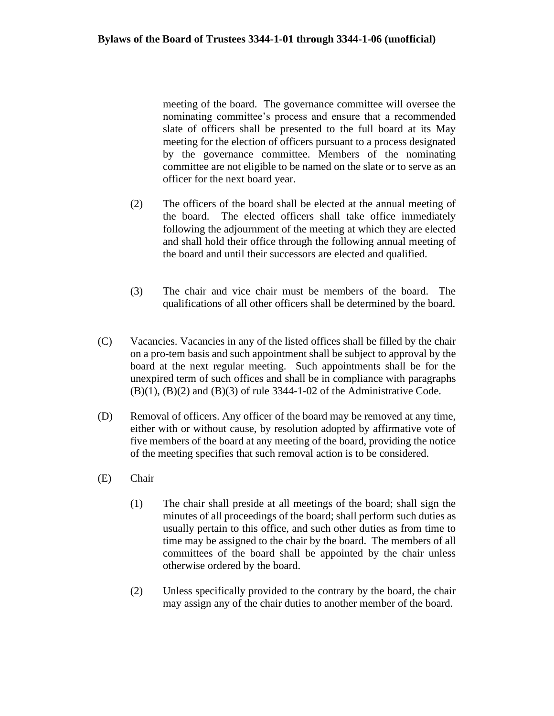meeting of the board. The governance committee will oversee the nominating committee's process and ensure that a recommended slate of officers shall be presented to the full board at its May meeting for the election of officers pursuant to a process designated by the governance committee. Members of the nominating committee are not eligible to be named on the slate or to serve as an officer for the next board year.

- (2) The officers of the board shall be elected at the annual meeting of the board. The elected officers shall take office immediately following the adjournment of the meeting at which they are elected and shall hold their office through the following annual meeting of the board and until their successors are elected and qualified.
- (3) The chair and vice chair must be members of the board. The qualifications of all other officers shall be determined by the board.
- (C) Vacancies. Vacancies in any of the listed offices shall be filled by the chair on a pro-tem basis and such appointment shall be subject to approval by the board at the next regular meeting. Such appointments shall be for the unexpired term of such offices and shall be in compliance with paragraphs  $(B)(1)$ ,  $(B)(2)$  and  $(B)(3)$  of rule 3344-1-02 of the Administrative Code.
- (D) Removal of officers. Any officer of the board may be removed at any time, either with or without cause, by resolution adopted by affirmative vote of five members of the board at any meeting of the board, providing the notice of the meeting specifies that such removal action is to be considered.
- (E) Chair
	- (1) The chair shall preside at all meetings of the board; shall sign the minutes of all proceedings of the board; shall perform such duties as usually pertain to this office, and such other duties as from time to time may be assigned to the chair by the board. The members of all committees of the board shall be appointed by the chair unless otherwise ordered by the board.
	- (2) Unless specifically provided to the contrary by the board, the chair may assign any of the chair duties to another member of the board.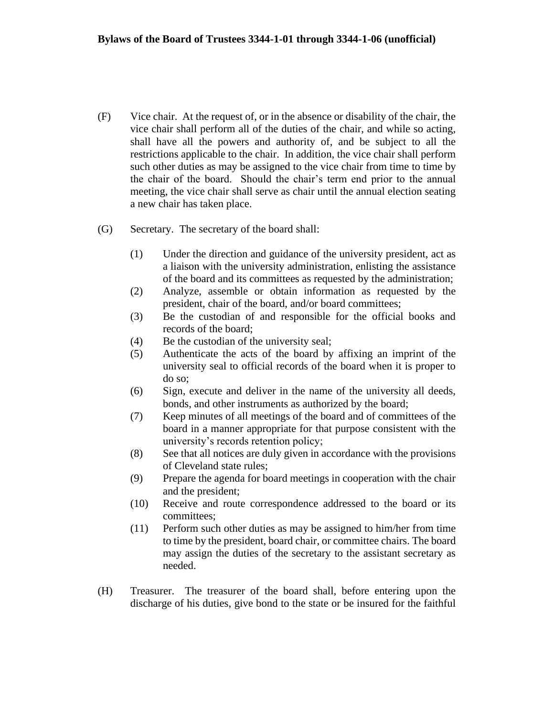- (F) Vice chair. At the request of, or in the absence or disability of the chair, the vice chair shall perform all of the duties of the chair, and while so acting, shall have all the powers and authority of, and be subject to all the restrictions applicable to the chair. In addition, the vice chair shall perform such other duties as may be assigned to the vice chair from time to time by the chair of the board. Should the chair's term end prior to the annual meeting, the vice chair shall serve as chair until the annual election seating a new chair has taken place.
- (G) Secretary. The secretary of the board shall:
	- (1) Under the direction and guidance of the university president, act as a liaison with the university administration, enlisting the assistance of the board and its committees as requested by the administration;
	- (2) Analyze, assemble or obtain information as requested by the president, chair of the board, and/or board committees;
	- (3) Be the custodian of and responsible for the official books and records of the board;
	- (4) Be the custodian of the university seal;
	- (5) Authenticate the acts of the board by affixing an imprint of the university seal to official records of the board when it is proper to do so;
	- (6) Sign, execute and deliver in the name of the university all deeds, bonds, and other instruments as authorized by the board;
	- (7) Keep minutes of all meetings of the board and of committees of the board in a manner appropriate for that purpose consistent with the university's records retention policy;
	- (8) See that all notices are duly given in accordance with the provisions of Cleveland state rules;
	- (9) Prepare the agenda for board meetings in cooperation with the chair and the president;
	- (10) Receive and route correspondence addressed to the board or its committees;
	- (11) Perform such other duties as may be assigned to him/her from time to time by the president, board chair, or committee chairs. The board may assign the duties of the secretary to the assistant secretary as needed.
- (H) Treasurer. The treasurer of the board shall, before entering upon the discharge of his duties, give bond to the state or be insured for the faithful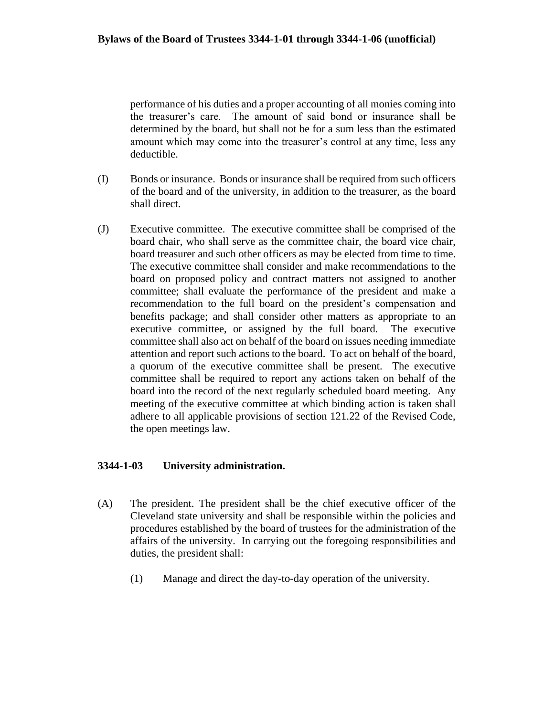performance of his duties and a proper accounting of all monies coming into the treasurer's care. The amount of said bond or insurance shall be determined by the board, but shall not be for a sum less than the estimated amount which may come into the treasurer's control at any time, less any deductible.

- (I) Bonds or insurance. Bonds or insurance shall be required from such officers of the board and of the university, in addition to the treasurer, as the board shall direct.
- (J) Executive committee. The executive committee shall be comprised of the board chair, who shall serve as the committee chair, the board vice chair, board treasurer and such other officers as may be elected from time to time. The executive committee shall consider and make recommendations to the board on proposed policy and contract matters not assigned to another committee; shall evaluate the performance of the president and make a recommendation to the full board on the president's compensation and benefits package; and shall consider other matters as appropriate to an executive committee, or assigned by the full board. The executive committee shall also act on behalf of the board on issues needing immediate attention and report such actions to the board. To act on behalf of the board, a quorum of the executive committee shall be present. The executive committee shall be required to report any actions taken on behalf of the board into the record of the next regularly scheduled board meeting. Any meeting of the executive committee at which binding action is taken shall adhere to all applicable provisions of section 121.22 of the Revised Code, the open meetings law.

# **3344-1-03 University administration.**

- (A) The president. The president shall be the chief executive officer of the Cleveland state university and shall be responsible within the policies and procedures established by the board of trustees for the administration of the affairs of the university. In carrying out the foregoing responsibilities and duties, the president shall:
	- (1) Manage and direct the day-to-day operation of the university.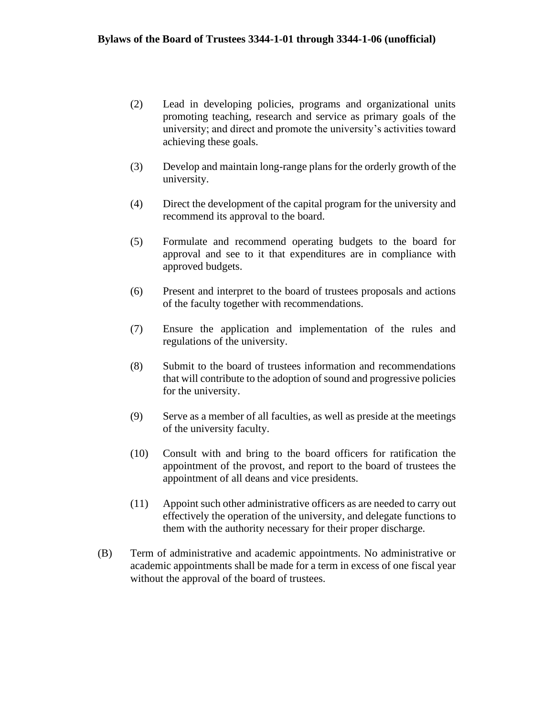- (2) Lead in developing policies, programs and organizational units promoting teaching, research and service as primary goals of the university; and direct and promote the university's activities toward achieving these goals.
- (3) Develop and maintain long-range plans for the orderly growth of the university.
- (4) Direct the development of the capital program for the university and recommend its approval to the board.
- (5) Formulate and recommend operating budgets to the board for approval and see to it that expenditures are in compliance with approved budgets.
- (6) Present and interpret to the board of trustees proposals and actions of the faculty together with recommendations.
- (7) Ensure the application and implementation of the rules and regulations of the university.
- (8) Submit to the board of trustees information and recommendations that will contribute to the adoption of sound and progressive policies for the university.
- (9) Serve as a member of all faculties, as well as preside at the meetings of the university faculty.
- (10) Consult with and bring to the board officers for ratification the appointment of the provost, and report to the board of trustees the appointment of all deans and vice presidents.
- (11) Appoint such other administrative officers as are needed to carry out effectively the operation of the university, and delegate functions to them with the authority necessary for their proper discharge.
- (B) Term of administrative and academic appointments. No administrative or academic appointments shall be made for a term in excess of one fiscal year without the approval of the board of trustees.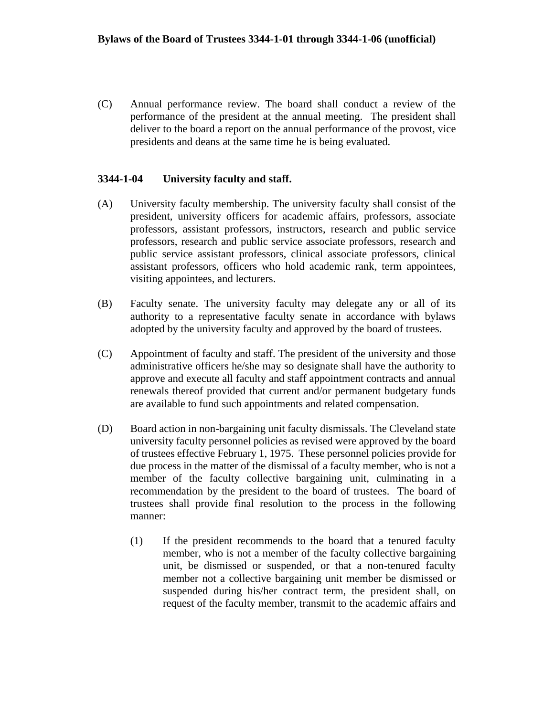(C) Annual performance review. The board shall conduct a review of the performance of the president at the annual meeting. The president shall deliver to the board a report on the annual performance of the provost, vice presidents and deans at the same time he is being evaluated.

## **3344-1-04 University faculty and staff.**

- (A) University faculty membership. The university faculty shall consist of the president, university officers for academic affairs, professors, associate professors, assistant professors, instructors, research and public service professors, research and public service associate professors, research and public service assistant professors, clinical associate professors, clinical assistant professors, officers who hold academic rank, term appointees, visiting appointees, and lecturers.
- (B) Faculty senate. The university faculty may delegate any or all of its authority to a representative faculty senate in accordance with bylaws adopted by the university faculty and approved by the board of trustees.
- (C) Appointment of faculty and staff. The president of the university and those administrative officers he/she may so designate shall have the authority to approve and execute all faculty and staff appointment contracts and annual renewals thereof provided that current and/or permanent budgetary funds are available to fund such appointments and related compensation.
- (D) Board action in non-bargaining unit faculty dismissals. The Cleveland state university faculty personnel policies as revised were approved by the board of trustees effective February 1, 1975. These personnel policies provide for due process in the matter of the dismissal of a faculty member, who is not a member of the faculty collective bargaining unit, culminating in a recommendation by the president to the board of trustees. The board of trustees shall provide final resolution to the process in the following manner:
	- (1) If the president recommends to the board that a tenured faculty member, who is not a member of the faculty collective bargaining unit, be dismissed or suspended, or that a non-tenured faculty member not a collective bargaining unit member be dismissed or suspended during his/her contract term, the president shall, on request of the faculty member, transmit to the academic affairs and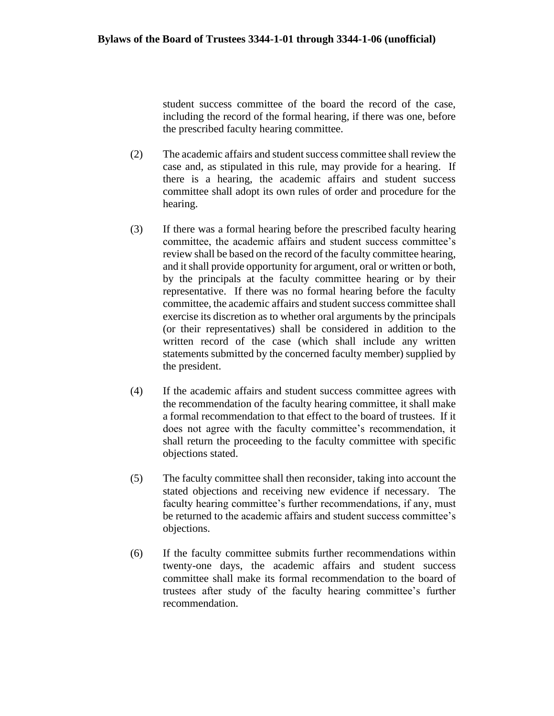student success committee of the board the record of the case, including the record of the formal hearing, if there was one, before the prescribed faculty hearing committee.

- (2) The academic affairs and student success committee shall review the case and, as stipulated in this rule, may provide for a hearing. If there is a hearing, the academic affairs and student success committee shall adopt its own rules of order and procedure for the hearing.
- (3) If there was a formal hearing before the prescribed faculty hearing committee, the academic affairs and student success committee's review shall be based on the record of the faculty committee hearing, and it shall provide opportunity for argument, oral or written or both, by the principals at the faculty committee hearing or by their representative. If there was no formal hearing before the faculty committee, the academic affairs and student success committee shall exercise its discretion as to whether oral arguments by the principals (or their representatives) shall be considered in addition to the written record of the case (which shall include any written statements submitted by the concerned faculty member) supplied by the president.
- (4) If the academic affairs and student success committee agrees with the recommendation of the faculty hearing committee, it shall make a formal recommendation to that effect to the board of trustees. If it does not agree with the faculty committee's recommendation, it shall return the proceeding to the faculty committee with specific objections stated.
- (5) The faculty committee shall then reconsider, taking into account the stated objections and receiving new evidence if necessary. The faculty hearing committee's further recommendations, if any, must be returned to the academic affairs and student success committee's objections.
- (6) If the faculty committee submits further recommendations within twenty-one days, the academic affairs and student success committee shall make its formal recommendation to the board of trustees after study of the faculty hearing committee's further recommendation.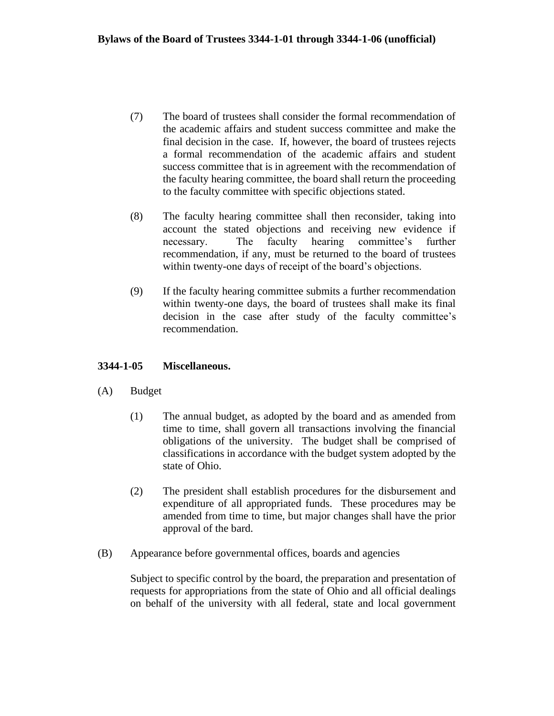- (7) The board of trustees shall consider the formal recommendation of the academic affairs and student success committee and make the final decision in the case. If, however, the board of trustees rejects a formal recommendation of the academic affairs and student success committee that is in agreement with the recommendation of the faculty hearing committee, the board shall return the proceeding to the faculty committee with specific objections stated.
- (8) The faculty hearing committee shall then reconsider, taking into account the stated objections and receiving new evidence if necessary. The faculty hearing committee's further recommendation, if any, must be returned to the board of trustees within twenty-one days of receipt of the board's objections.
- (9) If the faculty hearing committee submits a further recommendation within twenty-one days, the board of trustees shall make its final decision in the case after study of the faculty committee's recommendation.

## **3344-1-05 Miscellaneous.**

- (A) Budget
	- (1) The annual budget, as adopted by the board and as amended from time to time, shall govern all transactions involving the financial obligations of the university. The budget shall be comprised of classifications in accordance with the budget system adopted by the state of Ohio.
	- (2) The president shall establish procedures for the disbursement and expenditure of all appropriated funds. These procedures may be amended from time to time, but major changes shall have the prior approval of the bard.
- (B) Appearance before governmental offices, boards and agencies

Subject to specific control by the board, the preparation and presentation of requests for appropriations from the state of Ohio and all official dealings on behalf of the university with all federal, state and local government